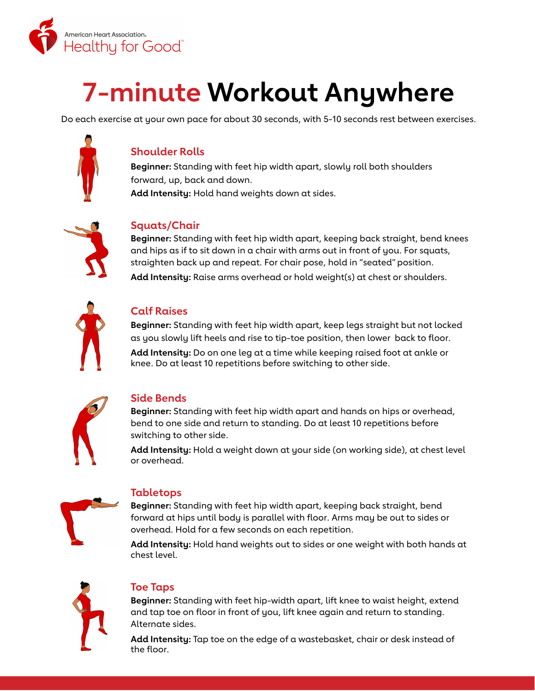

# **7-minute Workout Anywhere**

Do each exercise at your own pace for about 30 seconds, with 5-10 seconds rest between exercises.



# **Shoulder Rolls**

**Beginner:** Standing with feet hip width apart, slowly roll both shoulders forward, up, back and down. **Add Intensity:** Hold hand weights down at sides.



#### **Squats/Chair**

**Beginner:** Standing with feet hip width apart, keeping back straight, bend knees and hips as if to sit down in a chair with arms out in front of you. For squats, straighten back up and repeat. For chair pose, hold in "seated" position.

**Add Intensity:** Raise arms overhead or hold weight(s) at chest or shoulders.



# **Calf Raises**

**Beginner:** Standing with feet hip width apart, keep legs straight but not locked as you slowly lift heels and rise to tip-toe position, then lower back to floor.

**Add Intensity:** Do on one leg at a time while keeping raised foot at ankle or knee. Do at least 10 repetitions before switching to other side.



#### **Side Bends**

**Beginner:** Standing with feet hip width apart and hands on hips or overhead, bend to one side and return to standing. Do at least 10 repetitions before switching to other side.

**Add Intensity:** Hold a weight down at your side (on working side), at chest level or overhead.



#### **Tabletops**

**Beginner:** Standing with feet hip width apart, keeping back straight, bend forward at hips until body is parallel with floor. Arms may be out to sides or overhead. Hold for a few seconds on each repetition.

**Add Intensity:** Hold hand weights out to sides or one weight with both hands at chest level.



#### **Toe Taps**

**Beginner:** Standing with feet hip-width apart, lift knee to waist height, extend and tap toe on floor in front of you, lift knee again and return to standing. Alternate sides.

**Add Intensity:** Tap toe on the edge of a wastebasket, chair or desk instead of the floor.